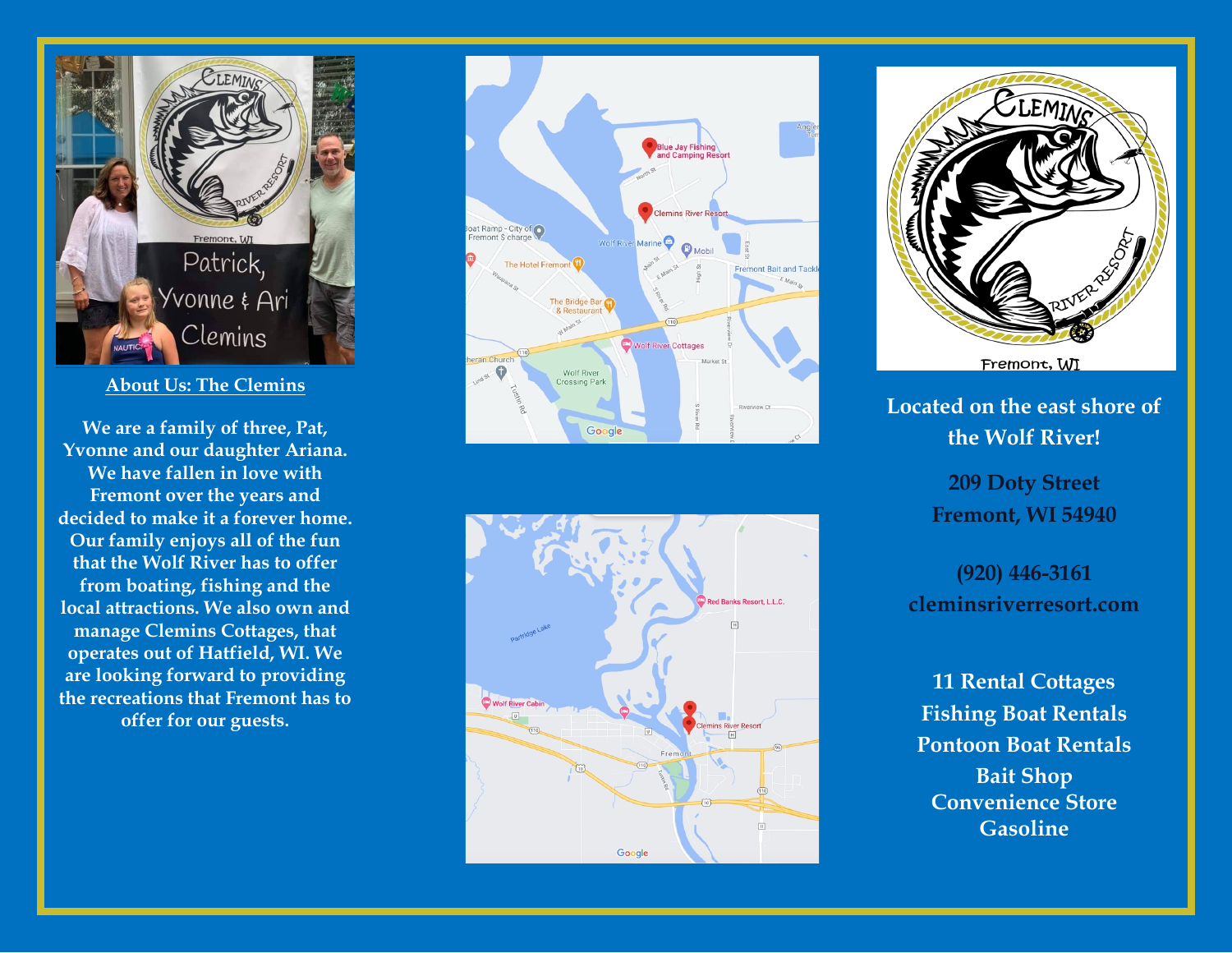

**About Us: The Clemins**

**We are a family of three, Pat, Yvonne and our daughter Ariana. We have f allen in love with Fremont over the years and decided to make it a forever home. Our family enjoys all of the fun th at the Wolf River has t o offer from boating, fishing and the local attractions. We also own and manage Clemins Cottages, that operates out of Hatfield, WI. We are looking forward to providing t h e recreations that Fremont has to offer for our guests.** 







**Located on the east shore of the Wolf River!**

> **209 Doty Street Fremont, WI 54940**

**(920) 446 -3161 cleminsriverresort.com** 

**11 Rental Cottages Fishing Boat Rentals Pontoon Boat Rentals Bait Shop Convenience Store Gasoline**